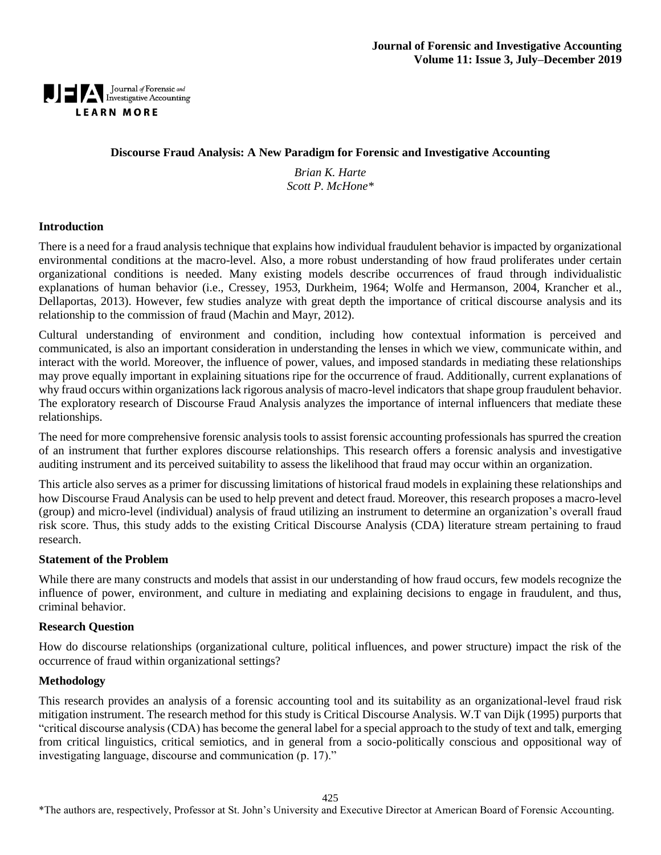

### **Discourse Fraud Analysis: A New Paradigm for Forensic and Investigative Accounting**

*Brian K. Harte Scott P. McHone\**

#### **Introduction**

There is a need for a fraud analysis technique that explains how individual fraudulent behavior is impacted by organizational environmental conditions at the macro-level. Also, a more robust understanding of how fraud proliferates under certain organizational conditions is needed. Many existing models describe occurrences of fraud through individualistic explanations of human behavior (i.e., Cressey, 1953, Durkheim, 1964; Wolfe and Hermanson, 2004, Krancher et al., Dellaportas, 2013). However, few studies analyze with great depth the importance of critical discourse analysis and its relationship to the commission of fraud (Machin and Mayr, 2012).

Cultural understanding of environment and condition, including how contextual information is perceived and communicated, is also an important consideration in understanding the lenses in which we view, communicate within, and interact with the world. Moreover, the influence of power, values, and imposed standards in mediating these relationships may prove equally important in explaining situations ripe for the occurrence of fraud. Additionally, current explanations of why fraud occurs within organizations lack rigorous analysis of macro-level indicators that shape group fraudulent behavior. The exploratory research of Discourse Fraud Analysis analyzes the importance of internal influencers that mediate these relationships.

The need for more comprehensive forensic analysis tools to assist forensic accounting professionals has spurred the creation of an instrument that further explores discourse relationships. This research offers a forensic analysis and investigative auditing instrument and its perceived suitability to assess the likelihood that fraud may occur within an organization.

This article also serves as a primer for discussing limitations of historical fraud models in explaining these relationships and how Discourse Fraud Analysis can be used to help prevent and detect fraud. Moreover, this research proposes a macro-level (group) and micro-level (individual) analysis of fraud utilizing an instrument to determine an organization's overall fraud risk score. Thus, this study adds to the existing Critical Discourse Analysis (CDA) literature stream pertaining to fraud research.

#### **Statement of the Problem**

While there are many constructs and models that assist in our understanding of how fraud occurs, few models recognize the influence of power, environment, and culture in mediating and explaining decisions to engage in fraudulent, and thus, criminal behavior.

#### **Research Question**

How do discourse relationships (organizational culture, political influences, and power structure) impact the risk of the occurrence of fraud within organizational settings?

#### **Methodology**

This research provides an analysis of a forensic accounting tool and its suitability as an organizational-level fraud risk mitigation instrument. The research method for this study is Critical Discourse Analysis. W.T van Dijk (1995) purports that "critical discourse analysis (CDA) has become the general label for a special approach to the study of text and talk, emerging from critical linguistics, critical semiotics, and in general from a socio-politically conscious and oppositional way of investigating language, discourse and communication (p. 17)."

425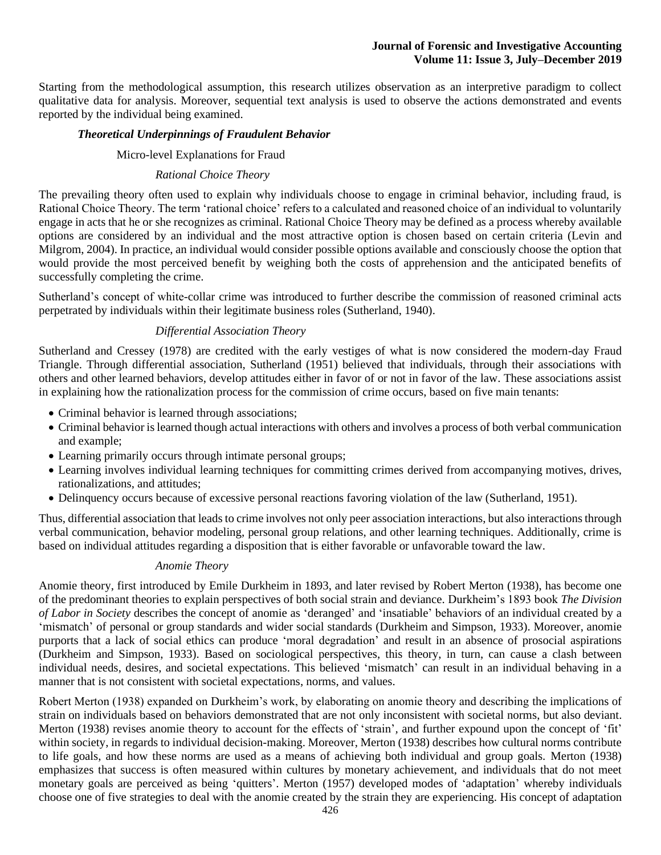Starting from the methodological assumption, this research utilizes observation as an interpretive paradigm to collect qualitative data for analysis. Moreover, sequential text analysis is used to observe the actions demonstrated and events reported by the individual being examined.

### *Theoretical Underpinnings of Fraudulent Behavior*

### Micro-level Explanations for Fraud

### *Rational Choice Theory*

The prevailing theory often used to explain why individuals choose to engage in criminal behavior, including fraud, is Rational Choice Theory. The term 'rational choice' refers to a calculated and reasoned choice of an individual to voluntarily engage in acts that he or she recognizes as criminal. Rational Choice Theory may be defined as a process whereby available options are considered by an individual and the most attractive option is chosen based on certain criteria (Levin and Milgrom, 2004). In practice, an individual would consider possible options available and consciously choose the option that would provide the most perceived benefit by weighing both the costs of apprehension and the anticipated benefits of successfully completing the crime.

Sutherland's concept of white-collar crime was introduced to further describe the commission of reasoned criminal acts perpetrated by individuals within their legitimate business roles (Sutherland, 1940).

## *Differential Association Theory*

Sutherland and Cressey (1978) are credited with the early vestiges of what is now considered the modern-day Fraud Triangle. Through differential association, Sutherland (1951) believed that individuals, through their associations with others and other learned behaviors, develop attitudes either in favor of or not in favor of the law. These associations assist in explaining how the rationalization process for the commission of crime occurs, based on five main tenants:

- Criminal behavior is learned through associations;
- Criminal behavior is learned though actual interactions with others and involves a process of both verbal communication and example;
- Learning primarily occurs through intimate personal groups;
- Learning involves individual learning techniques for committing crimes derived from accompanying motives, drives, rationalizations, and attitudes;
- Delinquency occurs because of excessive personal reactions favoring violation of the law (Sutherland, 1951).

Thus, differential association that leads to crime involves not only peer association interactions, but also interactions through verbal communication, behavior modeling, personal group relations, and other learning techniques. Additionally, crime is based on individual attitudes regarding a disposition that is either favorable or unfavorable toward the law.

#### *Anomie Theory*

Anomie theory, first introduced by Emile Durkheim in 1893, and later revised by Robert Merton (1938), has become one of the predominant theories to explain perspectives of both social strain and deviance. Durkheim's 1893 book *The Division of Labor in Society* describes the concept of anomie as 'deranged' and 'insatiable' behaviors of an individual created by a 'mismatch' of personal or group standards and wider social standards (Durkheim and Simpson, 1933). Moreover, anomie purports that a lack of social ethics can produce 'moral degradation' and result in an absence of prosocial aspirations (Durkheim and Simpson, 1933). Based on sociological perspectives, this theory, in turn, can cause a clash between individual needs, desires, and societal expectations. This believed 'mismatch' can result in an individual behaving in a manner that is not consistent with societal expectations, norms, and values.

Robert Merton (1938) expanded on Durkheim's work, by elaborating on anomie theory and describing the implications of strain on individuals based on behaviors demonstrated that are not only inconsistent with societal norms, but also deviant. Merton (1938) revises anomie theory to account for the effects of 'strain'*,* and further expound upon the concept of 'fit' within society, in regards to individual decision-making. Moreover, Merton (1938) describes how cultural norms contribute to life goals, and how these norms are used as a means of achieving both individual and group goals. Merton (1938) emphasizes that success is often measured within cultures by monetary achievement, and individuals that do not meet monetary goals are perceived as being 'quitters'. Merton (1957) developed modes of 'adaptation' whereby individuals choose one of five strategies to deal with the anomie created by the strain they are experiencing. His concept of adaptation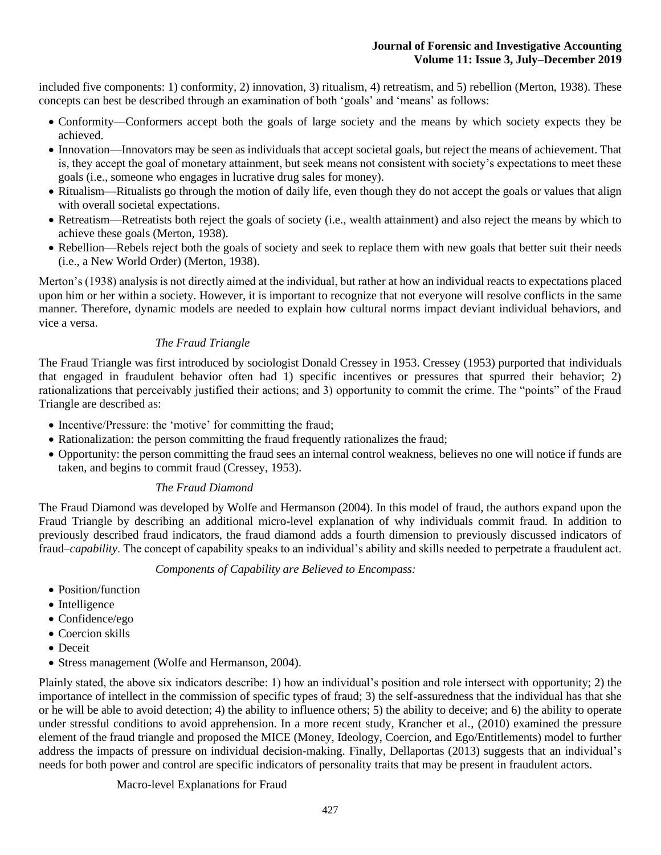included five components: 1) conformity, 2) innovation, 3) ritualism, 4) retreatism, and 5) rebellion (Merton, 1938). These concepts can best be described through an examination of both 'goals' and 'means' as follows:

- Conformity—Conformers accept both the goals of large society and the means by which society expects they be achieved.
- Innovation—Innovators may be seen as individuals that accept societal goals, but reject the means of achievement. That is, they accept the goal of monetary attainment, but seek means not consistent with society's expectations to meet these goals (i.e., someone who engages in lucrative drug sales for money).
- Ritualism—Ritualists go through the motion of daily life, even though they do not accept the goals or values that align with overall societal expectations.
- Retreatism—Retreatists both reject the goals of society (i.e., wealth attainment) and also reject the means by which to achieve these goals (Merton, 1938).
- Rebellion—Rebels reject both the goals of society and seek to replace them with new goals that better suit their needs (i.e., a New World Order) (Merton, 1938).

Merton's (1938) analysis is not directly aimed at the individual, but rather at how an individual reacts to expectations placed upon him or her within a society. However, it is important to recognize that not everyone will resolve conflicts in the same manner. Therefore, dynamic models are needed to explain how cultural norms impact deviant individual behaviors, and vice a versa.

# *The Fraud Triangle*

The Fraud Triangle was first introduced by sociologist Donald Cressey in 1953. Cressey (1953) purported that individuals that engaged in fraudulent behavior often had 1) specific incentives or pressures that spurred their behavior; 2) rationalizations that perceivably justified their actions; and 3) opportunity to commit the crime. The "points" of the Fraud Triangle are described as:

- Incentive/Pressure: the 'motive' for committing the fraud;
- Rationalization: the person committing the fraud frequently rationalizes the fraud;
- Opportunity: the person committing the fraud sees an internal control weakness, believes no one will notice if funds are taken, and begins to commit fraud (Cressey, 1953).

# *The Fraud Diamond*

The Fraud Diamond was developed by Wolfe and Hermanson (2004). In this model of fraud, the authors expand upon the Fraud Triangle by describing an additional micro-level explanation of why individuals commit fraud. In addition to previously described fraud indicators, the fraud diamond adds a fourth dimension to previously discussed indicators of fraud–*capability*. The concept of capability speaks to an individual's ability and skills needed to perpetrate a fraudulent act.

## *Components of Capability are Believed to Encompass:*

- Position/function
- Intelligence
- Confidence/ego
- Coercion skills
- Deceit
- Stress management (Wolfe and Hermanson, 2004).

Plainly stated, the above six indicators describe: 1) how an individual's position and role intersect with opportunity; 2) the importance of intellect in the commission of specific types of fraud; 3) the self-assuredness that the individual has that she or he will be able to avoid detection; 4) the ability to influence others; 5) the ability to deceive; and 6) the ability to operate under stressful conditions to avoid apprehension. In a more recent study, Krancher et al., (2010) examined the pressure element of the fraud triangle and proposed the MICE (Money, Ideology, Coercion, and Ego/Entitlements) model to further address the impacts of pressure on individual decision-making. Finally, Dellaportas (2013) suggests that an individual's needs for both power and control are specific indicators of personality traits that may be present in fraudulent actors.

Macro-level Explanations for Fraud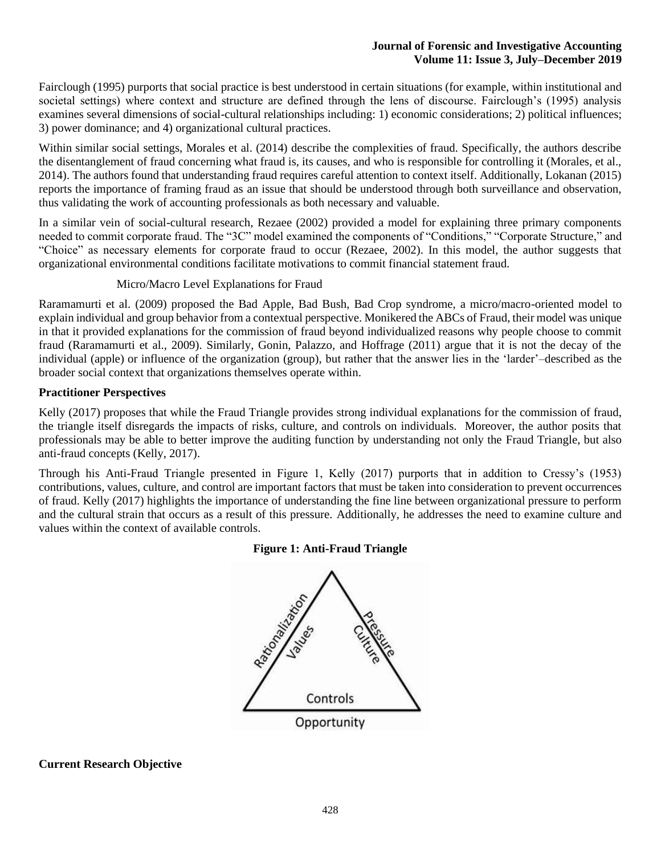Fairclough (1995) purports that social practice is best understood in certain situations (for example, within institutional and societal settings) where context and structure are defined through the lens of discourse. Fairclough's (1995) analysis examines several dimensions of social-cultural relationships including: 1) economic considerations; 2) political influences; 3) power dominance; and 4) organizational cultural practices.

Within similar social settings, Morales et al. (2014) describe the complexities of fraud. Specifically, the authors describe the disentanglement of fraud concerning what fraud is, its causes, and who is responsible for controlling it (Morales, et al., 2014). The authors found that understanding fraud requires careful attention to context itself. Additionally, Lokanan (2015) reports the importance of framing fraud as an issue that should be understood through both surveillance and observation, thus validating the work of accounting professionals as both necessary and valuable.

In a similar vein of social-cultural research, Rezaee (2002) provided a model for explaining three primary components needed to commit corporate fraud. The "3C" model examined the components of "Conditions," "Corporate Structure," and "Choice" as necessary elements for corporate fraud to occur (Rezaee, 2002). In this model, the author suggests that organizational environmental conditions facilitate motivations to commit financial statement fraud.

# Micro/Macro Level Explanations for Fraud

Raramamurti et al. (2009) proposed the Bad Apple, Bad Bush, Bad Crop syndrome, a micro/macro-oriented model to explain individual and group behavior from a contextual perspective. Monikered the ABCs of Fraud, their model was unique in that it provided explanations for the commission of fraud beyond individualized reasons why people choose to commit fraud (Raramamurti et al., 2009). Similarly, Gonin, Palazzo, and Hoffrage (2011) argue that it is not the decay of the individual (apple) or influence of the organization (group), but rather that the answer lies in the 'larder'–described as the broader social context that organizations themselves operate within.

# **Practitioner Perspectives**

Kelly (2017) proposes that while the Fraud Triangle provides strong individual explanations for the commission of fraud, the triangle itself disregards the impacts of risks, culture, and controls on individuals. Moreover, the author posits that professionals may be able to better improve the auditing function by understanding not only the Fraud Triangle, but also anti-fraud concepts (Kelly, 2017).

Through his Anti-Fraud Triangle presented in Figure 1, Kelly (2017) purports that in addition to Cressy's (1953) contributions, values, culture, and control are important factors that must be taken into consideration to prevent occurrences of fraud. Kelly (2017) highlights the importance of understanding the fine line between organizational pressure to perform and the cultural strain that occurs as a result of this pressure. Additionally, he addresses the need to examine culture and values within the context of available controls.

# **Figure 1: Anti-Fraud Triangle**



**Current Research Objective**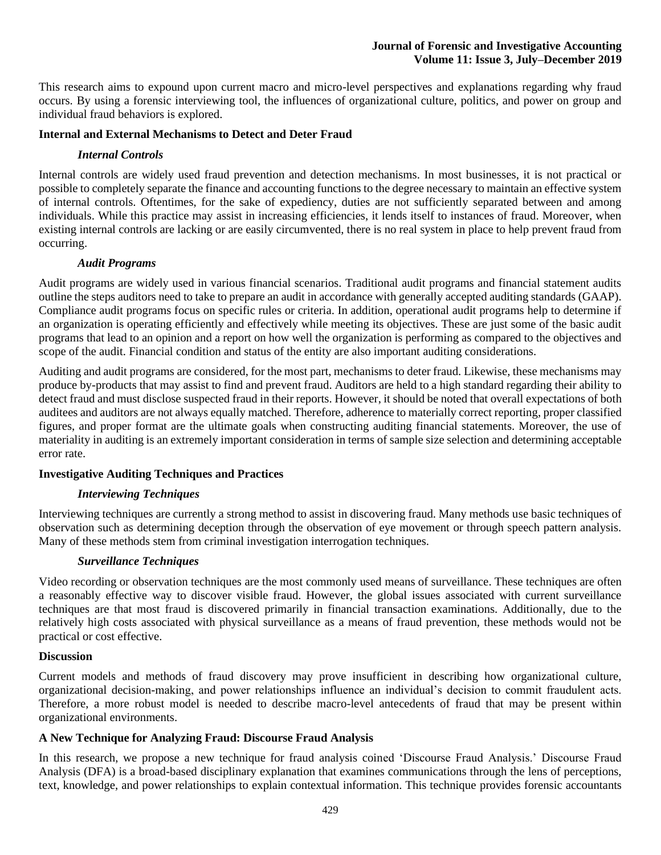This research aims to expound upon current macro and micro-level perspectives and explanations regarding why fraud occurs. By using a forensic interviewing tool, the influences of organizational culture, politics, and power on group and individual fraud behaviors is explored.

## **Internal and External Mechanisms to Detect and Deter Fraud**

# *Internal Controls*

Internal controls are widely used fraud prevention and detection mechanisms. In most businesses, it is not practical or possible to completely separate the finance and accounting functions to the degree necessary to maintain an effective system of internal controls. Oftentimes, for the sake of expediency, duties are not sufficiently separated between and among individuals. While this practice may assist in increasing efficiencies, it lends itself to instances of fraud. Moreover, when existing internal controls are lacking or are easily circumvented, there is no real system in place to help prevent fraud from occurring.

# *Audit Programs*

Audit programs are widely used in various financial scenarios. Traditional audit programs and financial statement audits outline the steps auditors need to take to prepare an audit in accordance with generally accepted auditing standards (GAAP). Compliance audit programs focus on specific rules or criteria. In addition, operational audit programs help to determine if an organization is operating efficiently and effectively while meeting its objectives. These are just some of the basic audit programs that lead to an opinion and a report on how well the organization is performing as compared to the objectives and scope of the audit. Financial condition and status of the entity are also important auditing considerations.

Auditing and audit programs are considered, for the most part, mechanisms to deter fraud. Likewise, these mechanisms may produce by-products that may assist to find and prevent fraud. Auditors are held to a high standard regarding their ability to detect fraud and must disclose suspected fraud in their reports. However, it should be noted that overall expectations of both auditees and auditors are not always equally matched. Therefore, adherence to materially correct reporting, proper classified figures, and proper format are the ultimate goals when constructing auditing financial statements. Moreover, the use of materiality in auditing is an extremely important consideration in terms of sample size selection and determining acceptable error rate.

# **Investigative Auditing Techniques and Practices**

## *Interviewing Techniques*

Interviewing techniques are currently a strong method to assist in discovering fraud. Many methods use basic techniques of observation such as determining deception through the observation of eye movement or through speech pattern analysis. Many of these methods stem from criminal investigation interrogation techniques.

## *Surveillance Techniques*

Video recording or observation techniques are the most commonly used means of surveillance. These techniques are often a reasonably effective way to discover visible fraud. However, the global issues associated with current surveillance techniques are that most fraud is discovered primarily in financial transaction examinations. Additionally, due to the relatively high costs associated with physical surveillance as a means of fraud prevention, these methods would not be practical or cost effective.

## **Discussion**

Current models and methods of fraud discovery may prove insufficient in describing how organizational culture, organizational decision-making, and power relationships influence an individual's decision to commit fraudulent acts. Therefore, a more robust model is needed to describe macro-level antecedents of fraud that may be present within organizational environments.

## **A New Technique for Analyzing Fraud: Discourse Fraud Analysis**

In this research, we propose a new technique for fraud analysis coined 'Discourse Fraud Analysis.' Discourse Fraud Analysis (DFA) is a broad-based disciplinary explanation that examines communications through the lens of perceptions, text, knowledge, and power relationships to explain contextual information. This technique provides forensic accountants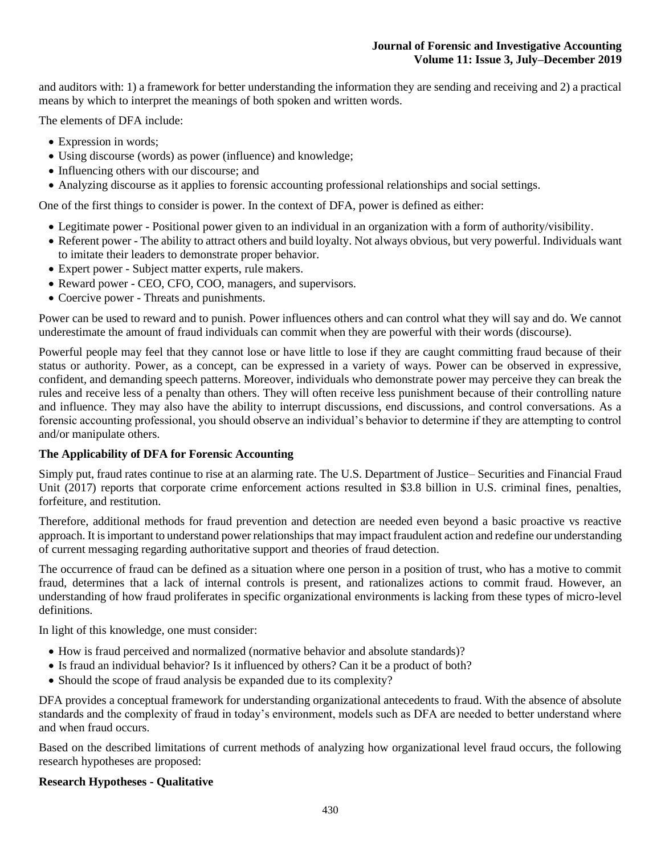and auditors with: 1) a framework for better understanding the information they are sending and receiving and 2) a practical means by which to interpret the meanings of both spoken and written words.

The elements of DFA include:

- Expression in words;
- Using discourse (words) as power (influence) and knowledge;
- Influencing others with our discourse; and
- Analyzing discourse as it applies to forensic accounting professional relationships and social settings.

One of the first things to consider is power. In the context of DFA, power is defined as either:

- Legitimate power Positional power given to an individual in an organization with a form of authority/visibility.
- Referent power The ability to attract others and build loyalty. Not always obvious, but very powerful. Individuals want to imitate their leaders to demonstrate proper behavior.
- Expert power Subject matter experts, rule makers.
- Reward power CEO, CFO, COO, managers, and supervisors.
- Coercive power Threats and punishments.

Power can be used to reward and to punish. Power influences others and can control what they will say and do. We cannot underestimate the amount of fraud individuals can commit when they are powerful with their words (discourse).

Powerful people may feel that they cannot lose or have little to lose if they are caught committing fraud because of their status or authority. Power, as a concept, can be expressed in a variety of ways. Power can be observed in expressive, confident, and demanding speech patterns. Moreover, individuals who demonstrate power may perceive they can break the rules and receive less of a penalty than others. They will often receive less punishment because of their controlling nature and influence. They may also have the ability to interrupt discussions, end discussions, and control conversations. As a forensic accounting professional, you should observe an individual's behavior to determine if they are attempting to control and/or manipulate others.

## **The Applicability of DFA for Forensic Accounting**

Simply put, fraud rates continue to rise at an alarming rate. The U.S. Department of Justice– Securities and Financial Fraud Unit (2017) reports that corporate crime enforcement actions resulted in \$3.8 billion in U.S. criminal fines, penalties, forfeiture, and restitution.

Therefore, additional methods for fraud prevention and detection are needed even beyond a basic proactive vs reactive approach. It is important to understand power relationships that may impact fraudulent action and redefine our understanding of current messaging regarding authoritative support and theories of fraud detection.

The occurrence of fraud can be defined as a situation where one person in a position of trust, who has a motive to commit fraud, determines that a lack of internal controls is present, and rationalizes actions to commit fraud. However, an understanding of how fraud proliferates in specific organizational environments is lacking from these types of micro-level definitions.

In light of this knowledge, one must consider:

- How is fraud perceived and normalized (normative behavior and absolute standards)?
- Is fraud an individual behavior? Is it influenced by others? Can it be a product of both?
- Should the scope of fraud analysis be expanded due to its complexity?

DFA provides a conceptual framework for understanding organizational antecedents to fraud. With the absence of absolute standards and the complexity of fraud in today's environment, models such as DFA are needed to better understand where and when fraud occurs.

Based on the described limitations of current methods of analyzing how organizational level fraud occurs, the following research hypotheses are proposed:

## **Research Hypotheses - Qualitative**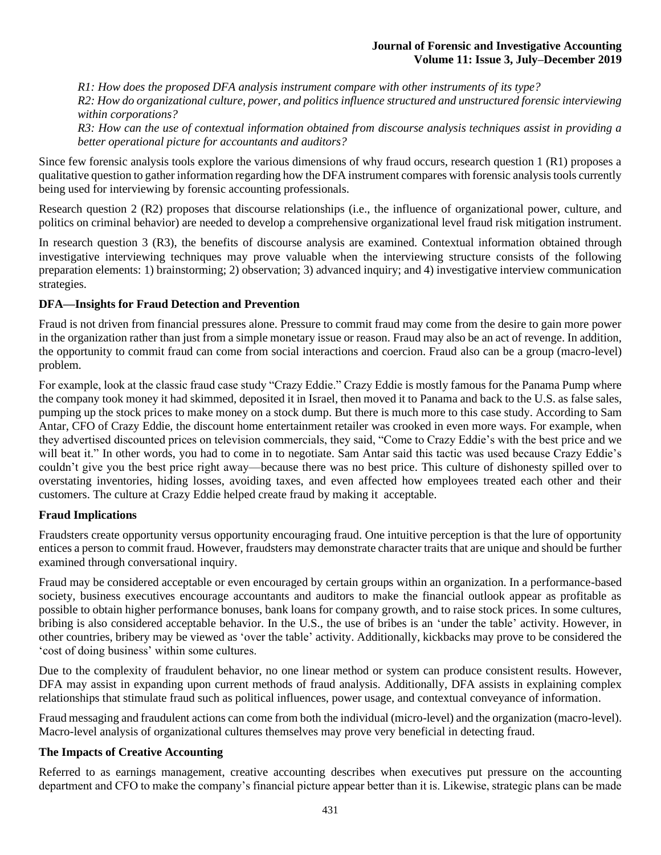*R1: How does the proposed DFA analysis instrument compare with other instruments of its type?*

*R2: How do organizational culture, power, and politics influence structured and unstructured forensic interviewing within corporations?*

*R3: How can the use of contextual information obtained from discourse analysis techniques assist in providing a better operational picture for accountants and auditors?*

Since few forensic analysis tools explore the various dimensions of why fraud occurs, research question 1 (R1) proposes a qualitative question to gather information regarding how the DFA instrument compares with forensic analysis tools currently being used for interviewing by forensic accounting professionals.

Research question 2 (R2) proposes that discourse relationships (i.e., the influence of organizational power, culture, and politics on criminal behavior) are needed to develop a comprehensive organizational level fraud risk mitigation instrument.

In research question 3 (R3), the benefits of discourse analysis are examined. Contextual information obtained through investigative interviewing techniques may prove valuable when the interviewing structure consists of the following preparation elements: 1) brainstorming; 2) observation; 3) advanced inquiry; and 4) investigative interview communication strategies.

# **DFA—Insights for Fraud Detection and Prevention**

Fraud is not driven from financial pressures alone. Pressure to commit fraud may come from the desire to gain more power in the organization rather than just from a simple monetary issue or reason. Fraud may also be an act of revenge. In addition, the opportunity to commit fraud can come from social interactions and coercion. Fraud also can be a group (macro-level) problem.

For example, look at the classic fraud case study "Crazy Eddie." Crazy Eddie is mostly famous for the Panama Pump where the company took money it had skimmed, deposited it in Israel, then moved it to Panama and back to the U.S. as false sales, pumping up the stock prices to make money on a stock dump. But there is much more to this case study. According to Sam Antar, CFO of Crazy Eddie, the discount home entertainment retailer was crooked in even more ways. For example, when they advertised discounted prices on television commercials, they said, "Come to Crazy Eddie's with the best price and we will beat it." In other words, you had to come in to negotiate. Sam Antar said this tactic was used because Crazy Eddie's couldn't give you the best price right away—because there was no best price. This culture of dishonesty spilled over to overstating inventories, hiding losses, avoiding taxes, and even affected how employees treated each other and their customers. The culture at Crazy Eddie helped create fraud by making it acceptable.

## **Fraud Implications**

Fraudsters create opportunity versus opportunity encouraging fraud. One intuitive perception is that the lure of opportunity entices a person to commit fraud. However, fraudsters may demonstrate character traits that are unique and should be further examined through conversational inquiry.

Fraud may be considered acceptable or even encouraged by certain groups within an organization. In a performance-based society, business executives encourage accountants and auditors to make the financial outlook appear as profitable as possible to obtain higher performance bonuses, bank loans for company growth, and to raise stock prices. In some cultures, bribing is also considered acceptable behavior. In the U.S., the use of bribes is an 'under the table' activity. However, in other countries, bribery may be viewed as 'over the table' activity. Additionally, kickbacks may prove to be considered the 'cost of doing business' within some cultures.

Due to the complexity of fraudulent behavior, no one linear method or system can produce consistent results. However, DFA may assist in expanding upon current methods of fraud analysis. Additionally, DFA assists in explaining complex relationships that stimulate fraud such as political influences, power usage, and contextual conveyance of information.

Fraud messaging and fraudulent actions can come from both the individual (micro-level) and the organization (macro-level). Macro-level analysis of organizational cultures themselves may prove very beneficial in detecting fraud.

## **The Impacts of Creative Accounting**

Referred to as earnings management, creative accounting describes when executives put pressure on the accounting department and CFO to make the company's financial picture appear better than it is. Likewise, strategic plans can be made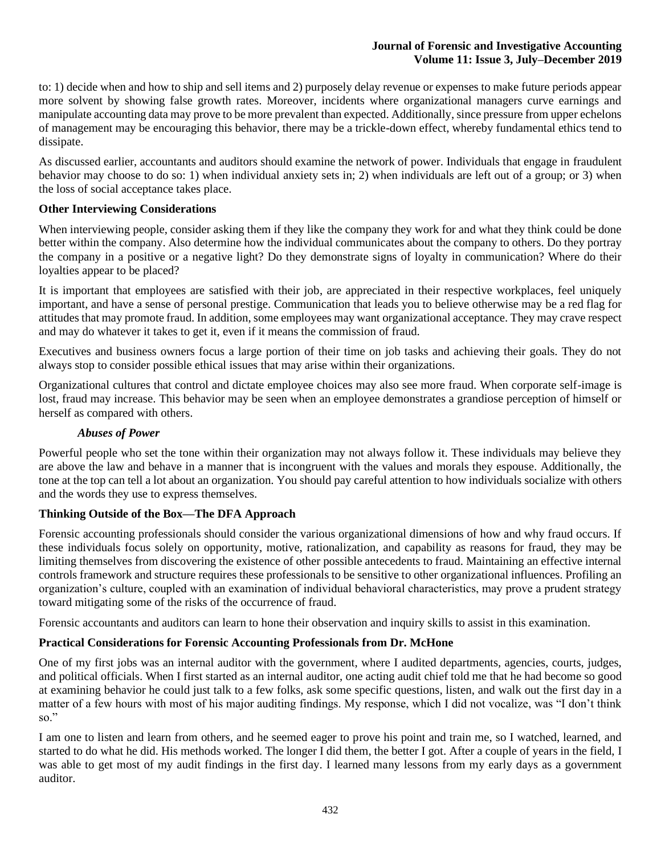to: 1) decide when and how to ship and sell items and 2) purposely delay revenue or expenses to make future periods appear more solvent by showing false growth rates. Moreover, incidents where organizational managers curve earnings and manipulate accounting data may prove to be more prevalent than expected. Additionally, since pressure from upper echelons of management may be encouraging this behavior, there may be a trickle-down effect, whereby fundamental ethics tend to dissipate.

As discussed earlier, accountants and auditors should examine the network of power. Individuals that engage in fraudulent behavior may choose to do so: 1) when individual anxiety sets in; 2) when individuals are left out of a group; or 3) when the loss of social acceptance takes place.

# **Other Interviewing Considerations**

When interviewing people, consider asking them if they like the company they work for and what they think could be done better within the company. Also determine how the individual communicates about the company to others. Do they portray the company in a positive or a negative light? Do they demonstrate signs of loyalty in communication? Where do their loyalties appear to be placed?

It is important that employees are satisfied with their job, are appreciated in their respective workplaces, feel uniquely important, and have a sense of personal prestige. Communication that leads you to believe otherwise may be a red flag for attitudes that may promote fraud. In addition, some employees may want organizational acceptance. They may crave respect and may do whatever it takes to get it, even if it means the commission of fraud.

Executives and business owners focus a large portion of their time on job tasks and achieving their goals. They do not always stop to consider possible ethical issues that may arise within their organizations.

Organizational cultures that control and dictate employee choices may also see more fraud. When corporate self-image is lost, fraud may increase. This behavior may be seen when an employee demonstrates a grandiose perception of himself or herself as compared with others.

# *Abuses of Power*

Powerful people who set the tone within their organization may not always follow it. These individuals may believe they are above the law and behave in a manner that is incongruent with the values and morals they espouse. Additionally, the tone at the top can tell a lot about an organization. You should pay careful attention to how individuals socialize with others and the words they use to express themselves.

# **Thinking Outside of the Box—The DFA Approach**

Forensic accounting professionals should consider the various organizational dimensions of how and why fraud occurs. If these individuals focus solely on opportunity, motive, rationalization, and capability as reasons for fraud, they may be limiting themselves from discovering the existence of other possible antecedents to fraud. Maintaining an effective internal controls framework and structure requires these professionals to be sensitive to other organizational influences. Profiling an organization's culture, coupled with an examination of individual behavioral characteristics, may prove a prudent strategy toward mitigating some of the risks of the occurrence of fraud.

Forensic accountants and auditors can learn to hone their observation and inquiry skills to assist in this examination.

# **Practical Considerations for Forensic Accounting Professionals from Dr. McHone**

One of my first jobs was an internal auditor with the government, where I audited departments, agencies, courts, judges, and political officials. When I first started as an internal auditor, one acting audit chief told me that he had become so good at examining behavior he could just talk to a few folks, ask some specific questions, listen, and walk out the first day in a matter of a few hours with most of his major auditing findings. My response, which I did not vocalize, was "I don't think so."

I am one to listen and learn from others, and he seemed eager to prove his point and train me, so I watched, learned, and started to do what he did. His methods worked. The longer I did them, the better I got. After a couple of years in the field, I was able to get most of my audit findings in the first day. I learned many lessons from my early days as a government auditor.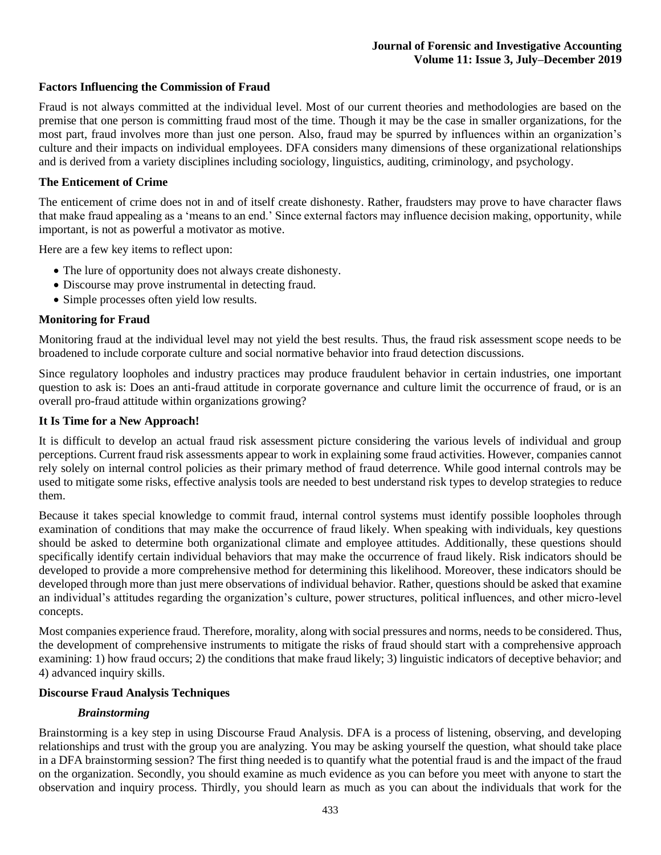# **Factors Influencing the Commission of Fraud**

Fraud is not always committed at the individual level. Most of our current theories and methodologies are based on the premise that one person is committing fraud most of the time. Though it may be the case in smaller organizations, for the most part, fraud involves more than just one person. Also, fraud may be spurred by influences within an organization's culture and their impacts on individual employees. DFA considers many dimensions of these organizational relationships and is derived from a variety disciplines including sociology, linguistics, auditing, criminology, and psychology.

### **The Enticement of Crime**

The enticement of crime does not in and of itself create dishonesty. Rather, fraudsters may prove to have character flaws that make fraud appealing as a 'means to an end.' Since external factors may influence decision making, opportunity, while important, is not as powerful a motivator as motive.

Here are a few key items to reflect upon:

- The lure of opportunity does not always create dishonesty.
- Discourse may prove instrumental in detecting fraud.
- Simple processes often yield low results.

### **Monitoring for Fraud**

Monitoring fraud at the individual level may not yield the best results. Thus, the fraud risk assessment scope needs to be broadened to include corporate culture and social normative behavior into fraud detection discussions.

Since regulatory loopholes and industry practices may produce fraudulent behavior in certain industries, one important question to ask is: Does an anti-fraud attitude in corporate governance and culture limit the occurrence of fraud, or is an overall pro-fraud attitude within organizations growing?

### **It Is Time for a New Approach!**

It is difficult to develop an actual fraud risk assessment picture considering the various levels of individual and group perceptions. Current fraud risk assessments appear to work in explaining some fraud activities. However, companies cannot rely solely on internal control policies as their primary method of fraud deterrence. While good internal controls may be used to mitigate some risks, effective analysis tools are needed to best understand risk types to develop strategies to reduce them.

Because it takes special knowledge to commit fraud, internal control systems must identify possible loopholes through examination of conditions that may make the occurrence of fraud likely. When speaking with individuals, key questions should be asked to determine both organizational climate and employee attitudes. Additionally, these questions should specifically identify certain individual behaviors that may make the occurrence of fraud likely. Risk indicators should be developed to provide a more comprehensive method for determining this likelihood. Moreover, these indicators should be developed through more than just mere observations of individual behavior. Rather, questions should be asked that examine an individual's attitudes regarding the organization's culture, power structures, political influences, and other micro-level concepts.

Most companies experience fraud. Therefore, morality, along with social pressures and norms, needs to be considered. Thus, the development of comprehensive instruments to mitigate the risks of fraud should start with a comprehensive approach examining: 1) how fraud occurs; 2) the conditions that make fraud likely; 3) linguistic indicators of deceptive behavior; and 4) advanced inquiry skills.

#### **Discourse Fraud Analysis Techniques**

## *Brainstorming*

Brainstorming is a key step in using Discourse Fraud Analysis. DFA is a process of listening, observing, and developing relationships and trust with the group you are analyzing. You may be asking yourself the question, what should take place in a DFA brainstorming session? The first thing needed is to quantify what the potential fraud is and the impact of the fraud on the organization. Secondly, you should examine as much evidence as you can before you meet with anyone to start the observation and inquiry process. Thirdly, you should learn as much as you can about the individuals that work for the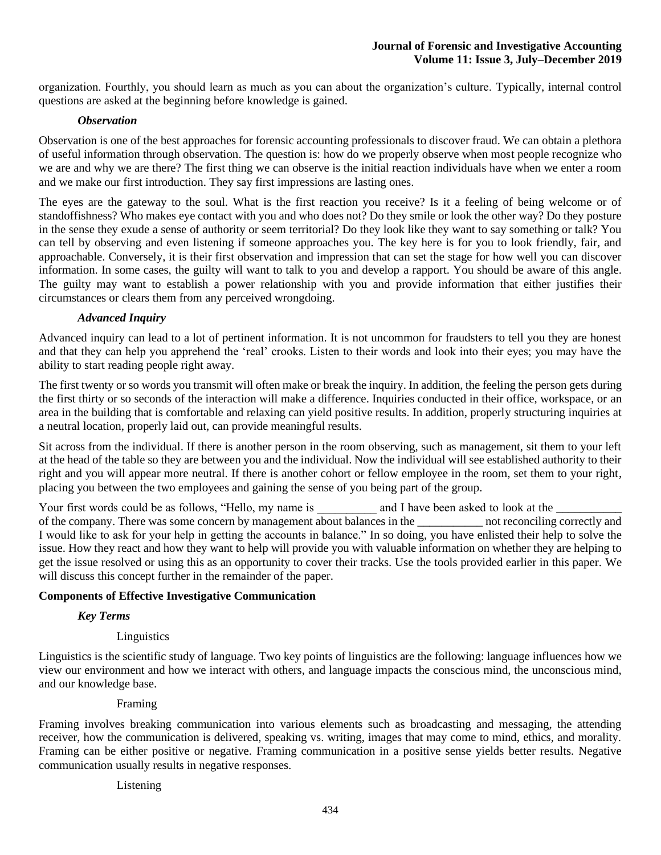organization. Fourthly, you should learn as much as you can about the organization's culture. Typically, internal control questions are asked at the beginning before knowledge is gained.

### *Observation*

Observation is one of the best approaches for forensic accounting professionals to discover fraud. We can obtain a plethora of useful information through observation. The question is: how do we properly observe when most people recognize who we are and why we are there? The first thing we can observe is the initial reaction individuals have when we enter a room and we make our first introduction. They say first impressions are lasting ones.

The eyes are the gateway to the soul. What is the first reaction you receive? Is it a feeling of being welcome or of standoffishness? Who makes eye contact with you and who does not? Do they smile or look the other way? Do they posture in the sense they exude a sense of authority or seem territorial? Do they look like they want to say something or talk? You can tell by observing and even listening if someone approaches you. The key here is for you to look friendly, fair, and approachable. Conversely, it is their first observation and impression that can set the stage for how well you can discover information. In some cases, the guilty will want to talk to you and develop a rapport. You should be aware of this angle. The guilty may want to establish a power relationship with you and provide information that either justifies their circumstances or clears them from any perceived wrongdoing.

## *Advanced Inquiry*

Advanced inquiry can lead to a lot of pertinent information. It is not uncommon for fraudsters to tell you they are honest and that they can help you apprehend the 'real' crooks. Listen to their words and look into their eyes; you may have the ability to start reading people right away.

The first twenty or so words you transmit will often make or break the inquiry. In addition, the feeling the person gets during the first thirty or so seconds of the interaction will make a difference. Inquiries conducted in their office, workspace, or an area in the building that is comfortable and relaxing can yield positive results. In addition, properly structuring inquiries at a neutral location, properly laid out, can provide meaningful results.

Sit across from the individual. If there is another person in the room observing, such as management, sit them to your left at the head of the table so they are between you and the individual. Now the individual will see established authority to their right and you will appear more neutral. If there is another cohort or fellow employee in the room, set them to your right, placing you between the two employees and gaining the sense of you being part of the group.

Your first words could be as follows, "Hello, my name is \_\_\_\_\_\_\_\_\_\_\_ and I have been asked to look at the \_\_\_\_ of the company. There was some concern by management about balances in the \_\_\_\_\_\_\_\_\_\_\_ not reconciling correctly and I would like to ask for your help in getting the accounts in balance." In so doing, you have enlisted their help to solve the issue. How they react and how they want to help will provide you with valuable information on whether they are helping to get the issue resolved or using this as an opportunity to cover their tracks. Use the tools provided earlier in this paper. We will discuss this concept further in the remainder of the paper.

## **Components of Effective Investigative Communication**

#### *Key Terms*

## Linguistics

Linguistics is the scientific study of language. Two key points of linguistics are the following: language influences how we view our environment and how we interact with others, and language impacts the conscious mind, the unconscious mind, and our knowledge base.

#### Framing

Framing involves breaking communication into various elements such as broadcasting and messaging, the attending receiver, how the communication is delivered, speaking vs. writing, images that may come to mind, ethics, and morality. Framing can be either positive or negative. Framing communication in a positive sense yields better results. Negative communication usually results in negative responses.

### Listening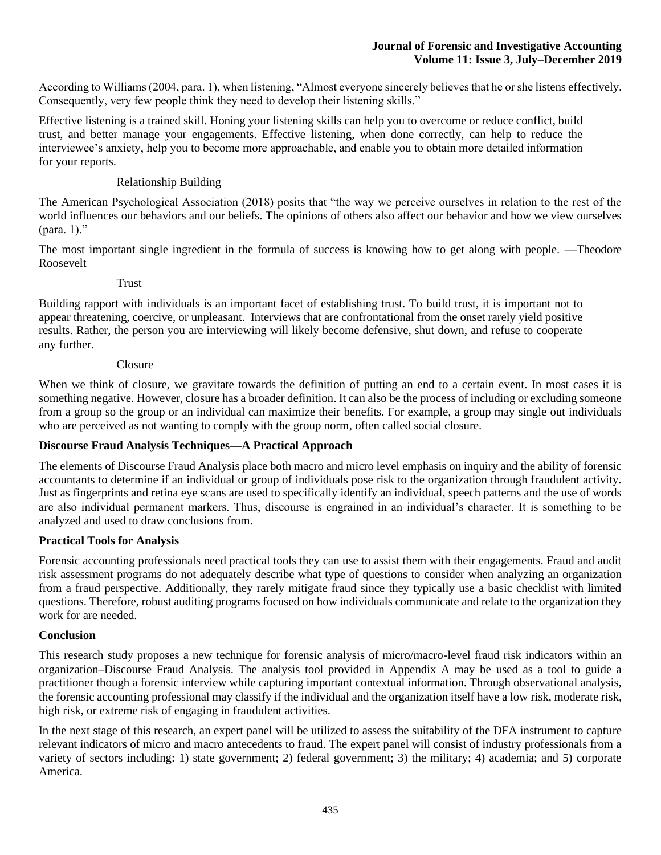According to Williams (2004, para. 1), when listening, "Almost everyone sincerely believes that he or she listens effectively. Consequently, very few people think they need to develop their listening skills."

Effective listening is a trained skill. Honing your listening skills can help you to overcome or reduce conflict, build trust, and better manage your engagements. Effective listening, when done correctly, can help to reduce the interviewee's anxiety, help you to become more approachable, and enable you to obtain more detailed information for your reports.

# Relationship Building

The American Psychological Association (2018) posits that "the way we perceive ourselves in relation to the rest of the world influences our behaviors and our beliefs. The opinions of others also affect our behavior and how we view ourselves (para. 1)."

The most important single ingredient in the formula of success is knowing how to get along with people. —Theodore Roosevelt

### Trust

Building rapport with individuals is an important facet of establishing trust. To build trust, it is important not to appear threatening, coercive, or unpleasant. Interviews that are confrontational from the onset rarely yield positive results. Rather, the person you are interviewing will likely become defensive, shut down, and refuse to cooperate any further.

### Closure

When we think of closure, we gravitate towards the definition of putting an end to a certain event. In most cases it is something negative. However, closure has a broader definition. It can also be the process of including or excluding someone from a group so the group or an individual can maximize their benefits. For example, a group may single out individuals who are perceived as not wanting to comply with the group norm, often called social closure.

# **Discourse Fraud Analysis Techniques—A Practical Approach**

The elements of Discourse Fraud Analysis place both macro and micro level emphasis on inquiry and the ability of forensic accountants to determine if an individual or group of individuals pose risk to the organization through fraudulent activity. Just as fingerprints and retina eye scans are used to specifically identify an individual, speech patterns and the use of words are also individual permanent markers. Thus, discourse is engrained in an individual's character. It is something to be analyzed and used to draw conclusions from.

## **Practical Tools for Analysis**

Forensic accounting professionals need practical tools they can use to assist them with their engagements. Fraud and audit risk assessment programs do not adequately describe what type of questions to consider when analyzing an organization from a fraud perspective. Additionally, they rarely mitigate fraud since they typically use a basic checklist with limited questions. Therefore, robust auditing programs focused on how individuals communicate and relate to the organization they work for are needed.

## **Conclusion**

This research study proposes a new technique for forensic analysis of micro/macro-level fraud risk indicators within an organization–Discourse Fraud Analysis. The analysis tool provided in Appendix A may be used as a tool to guide a practitioner though a forensic interview while capturing important contextual information. Through observational analysis, the forensic accounting professional may classify if the individual and the organization itself have a low risk, moderate risk, high risk, or extreme risk of engaging in fraudulent activities.

In the next stage of this research, an expert panel will be utilized to assess the suitability of the DFA instrument to capture relevant indicators of micro and macro antecedents to fraud. The expert panel will consist of industry professionals from a variety of sectors including: 1) state government; 2) federal government; 3) the military; 4) academia; and 5) corporate America.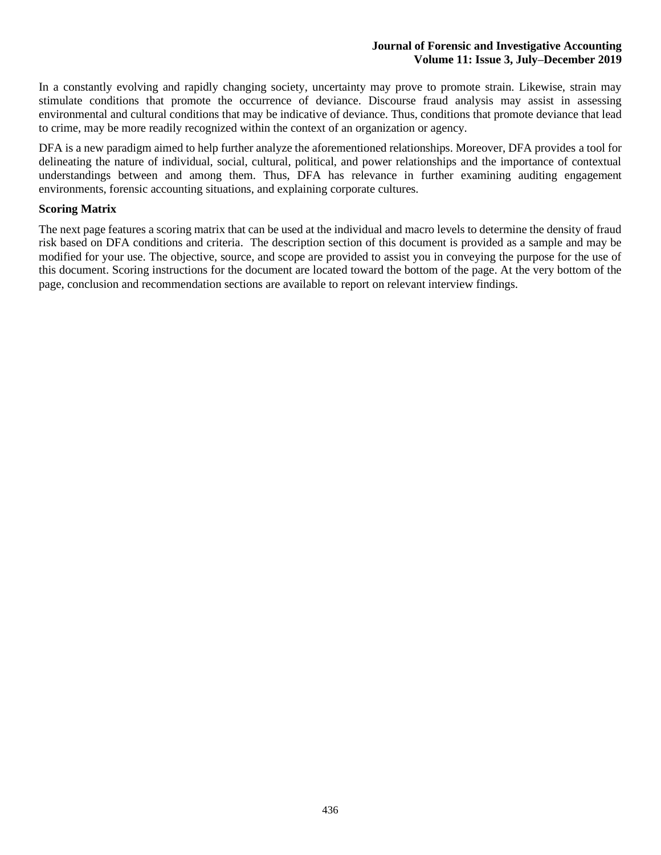In a constantly evolving and rapidly changing society, uncertainty may prove to promote strain. Likewise, strain may stimulate conditions that promote the occurrence of deviance. Discourse fraud analysis may assist in assessing environmental and cultural conditions that may be indicative of deviance. Thus, conditions that promote deviance that lead to crime, may be more readily recognized within the context of an organization or agency.

DFA is a new paradigm aimed to help further analyze the aforementioned relationships. Moreover, DFA provides a tool for delineating the nature of individual, social, cultural, political, and power relationships and the importance of contextual understandings between and among them. Thus, DFA has relevance in further examining auditing engagement environments, forensic accounting situations, and explaining corporate cultures.

### **Scoring Matrix**

The next page features a scoring matrix that can be used at the individual and macro levels to determine the density of fraud risk based on DFA conditions and criteria. The description section of this document is provided as a sample and may be modified for your use. The objective, source, and scope are provided to assist you in conveying the purpose for the use of this document. Scoring instructions for the document are located toward the bottom of the page. At the very bottom of the page, conclusion and recommendation sections are available to report on relevant interview findings.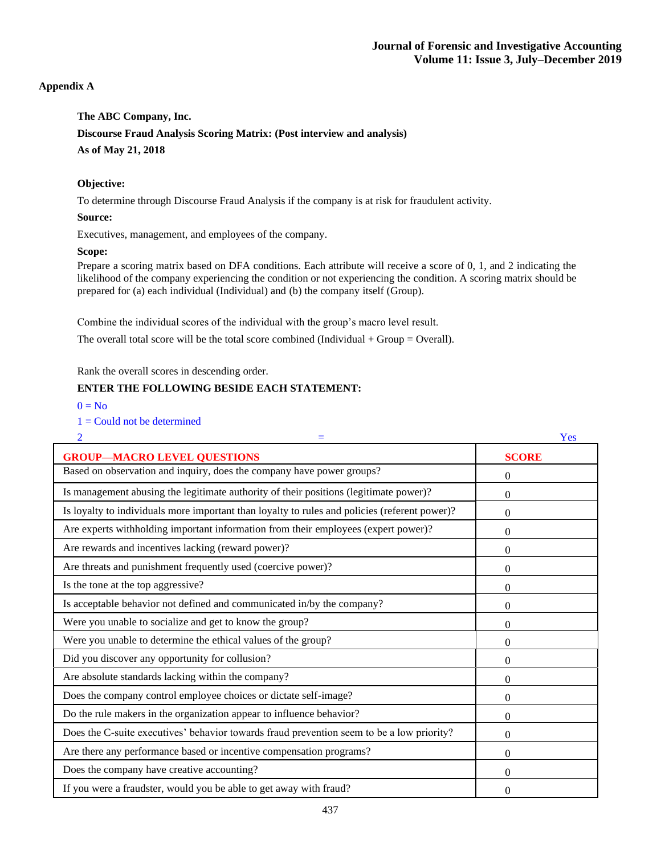### **Appendix A**

**The ABC Company, Inc. Discourse Fraud Analysis Scoring Matrix: (Post interview and analysis) As of May 21, 2018**

#### **Objective:**

To determine through Discourse Fraud Analysis if the company is at risk for fraudulent activity.

#### **Source:**

Executives, management, and employees of the company.

#### **Scope:**

Prepare a scoring matrix based on DFA conditions. Each attribute will receive a score of 0, 1, and 2 indicating the likelihood of the company experiencing the condition or not experiencing the condition. A scoring matrix should be prepared for (a) each individual (Individual) and (b) the company itself (Group).

Combine the individual scores of the individual with the group's macro level result.

The overall total score will be the total score combined (Individual  $+$  Group = Overall).

Rank the overall scores in descending order.

### **ENTER THE FOLLOWING BESIDE EACH STATEMENT:**

 $0 = No$ 

 $1 =$  Could not be determined

| $\overline{2}$                                                                                | Yes            |
|-----------------------------------------------------------------------------------------------|----------------|
| <b>GROUP-MACRO LEVEL QUESTIONS</b>                                                            | <b>SCORE</b>   |
| Based on observation and inquiry, does the company have power groups?                         | $\mathbf{0}$   |
| Is management abusing the legitimate authority of their positions (legitimate power)?         | $\overline{0}$ |
| Is loyalty to individuals more important than loyalty to rules and policies (referent power)? | $\theta$       |
| Are experts withholding important information from their employees (expert power)?            | $\theta$       |
| Are rewards and incentives lacking (reward power)?                                            | $\overline{0}$ |
| Are threats and punishment frequently used (coercive power)?                                  | $\overline{0}$ |
| Is the tone at the top aggressive?                                                            | $\overline{0}$ |
| Is acceptable behavior not defined and communicated in/by the company?                        | $\mathbf{0}$   |
| Were you unable to socialize and get to know the group?                                       | $\theta$       |
| Were you unable to determine the ethical values of the group?                                 | $\theta$       |
| Did you discover any opportunity for collusion?                                               | $\overline{0}$ |
| Are absolute standards lacking within the company?                                            | $\theta$       |
| Does the company control employee choices or dictate self-image?                              | $\overline{0}$ |
| Do the rule makers in the organization appear to influence behavior?                          | $\theta$       |
| Does the C-suite executives' behavior towards fraud prevention seem to be a low priority?     | $\overline{0}$ |
| Are there any performance based or incentive compensation programs?                           | $\theta$       |
| Does the company have creative accounting?                                                    | $\Omega$       |
| If you were a fraudster, would you be able to get away with fraud?                            | $\overline{0}$ |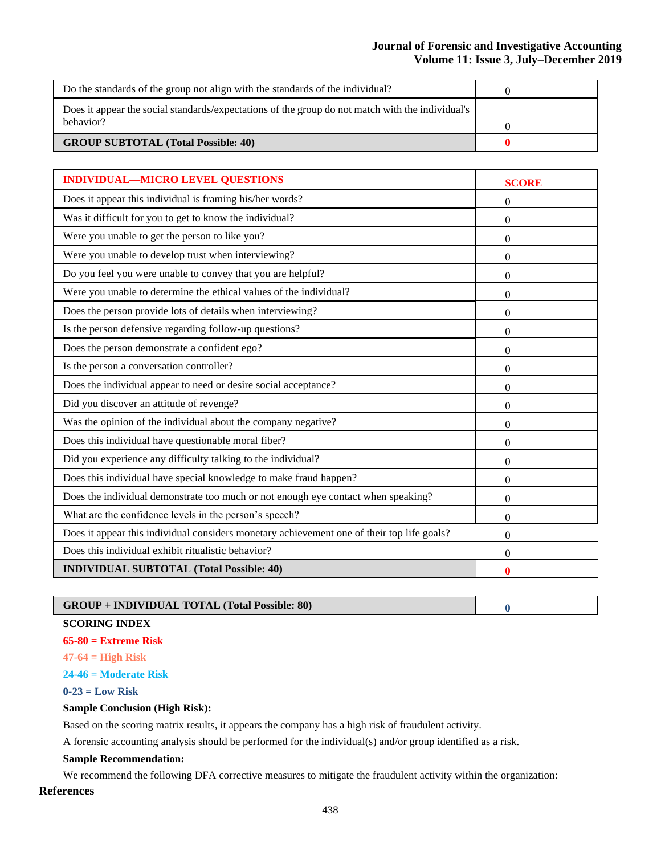| Do the standards of the group not align with the standards of the individual?                                 |  |
|---------------------------------------------------------------------------------------------------------------|--|
| Does it appear the social standards/expectations of the group do not match with the individual's<br>behavior? |  |
|                                                                                                               |  |
| <b>GROUP SUBTOTAL (Total Possible: 40)</b>                                                                    |  |

| <b>INDIVIDUAL-MICRO LEVEL QUESTIONS</b>                                                    | <b>SCORE</b>     |
|--------------------------------------------------------------------------------------------|------------------|
| Does it appear this individual is framing his/her words?                                   | $\boldsymbol{0}$ |
| Was it difficult for you to get to know the individual?                                    | $\theta$         |
| Were you unable to get the person to like you?                                             | $\overline{0}$   |
| Were you unable to develop trust when interviewing?                                        | 0                |
| Do you feel you were unable to convey that you are helpful?                                | $\overline{0}$   |
| Were you unable to determine the ethical values of the individual?                         | $\theta$         |
| Does the person provide lots of details when interviewing?                                 | $\theta$         |
| Is the person defensive regarding follow-up questions?                                     | $\overline{0}$   |
| Does the person demonstrate a confident ego?                                               | $\theta$         |
| Is the person a conversation controller?                                                   | $\Omega$         |
| Does the individual appear to need or desire social acceptance?                            | 0                |
| Did you discover an attitude of revenge?                                                   | 0                |
| Was the opinion of the individual about the company negative?                              | $\boldsymbol{0}$ |
| Does this individual have questionable moral fiber?                                        | $\overline{0}$   |
| Did you experience any difficulty talking to the individual?                               | $\boldsymbol{0}$ |
| Does this individual have special knowledge to make fraud happen?                          | $\overline{0}$   |
| Does the individual demonstrate too much or not enough eye contact when speaking?          | $\overline{0}$   |
| What are the confidence levels in the person's speech?                                     | $\Omega$         |
| Does it appear this individual considers monetary achievement one of their top life goals? | $\theta$         |
| Does this individual exhibit ritualistic behavior?                                         | $\overline{0}$   |
| <b>INDIVIDUAL SUBTOTAL (Total Possible: 40)</b>                                            | $\bf{0}$         |

# **GROUP + INDIVIDUAL TOTAL (Total Possible: 80) 0**

#### **SCORING INDEX**

- **65-80 = Extreme Risk**
- **47-64 = High Risk**
- **24-46 = Moderate Risk**
- **0-23 = Low Risk**

#### **Sample Conclusion (High Risk):**

Based on the scoring matrix results, it appears the company has a high risk of fraudulent activity.

A forensic accounting analysis should be performed for the individual(s) and/or group identified as a risk.

# **Sample Recommendation:**

We recommend the following DFA corrective measures to mitigate the fraudulent activity within the organization:

### **References**